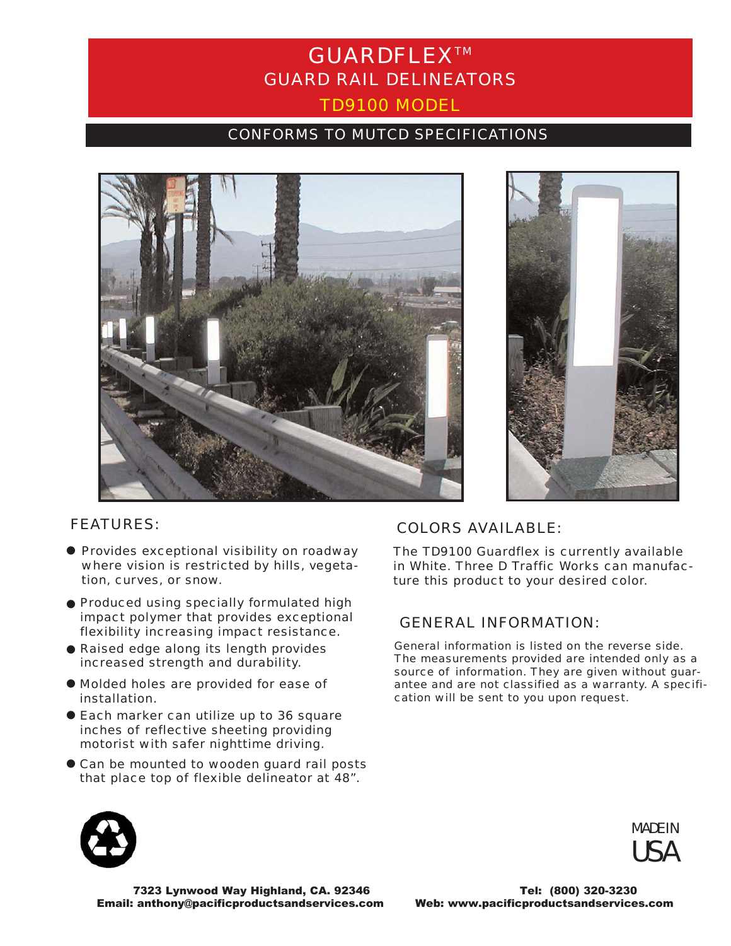# GUARDFLEXTM GUARD RAIL DELINEATORS TD9100 MODEL

### CONFORMS TO MUTCD SPECIFICATIONS





- **Provides exceptional visibility on roadway** where vision is restricted by hills, vegetation, curves, or snow.
- $\bullet$  Produced using specially formulated high impact polymer that provides exceptional flexibility increasing impact resistance.
- $\bullet$  Raised edge along its length provides increased strength and durability.
- $\bullet$  Molded holes are provided for ease of installation.
- **Each marker can utilize up to 36 square** inches of reflective sheeting providing motorist with safer nighttime driving.
- $\bullet$  Can be mounted to wooden guard rail posts that place top of flexible delineator at 48".

## FEATURES: COLORS AVAILABLE:

The TD9100 Guardflex is currently available in White. Three D Traffic Works can manufacture this product to your desired color.

### GENERAL INFORMATION:

*General information is listed on the reverse side. The measurements provided are intended only as a source of information. They are given without guarantee and are not classified as a warranty. A specification will be sent to you upon request.*



MADE IN **USA** 

7323 Lynwood Way Highland, CA. 92346 Tel: (800) 320-3230 Email: anthony@pacificproductsandservices.com Web: www.pacificproductsandservices.com